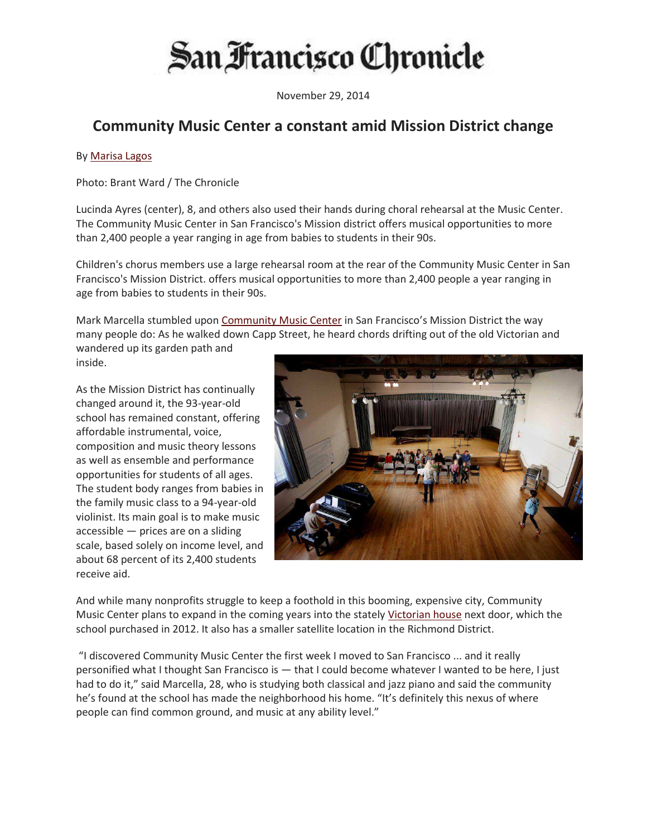## San Francisco Chronicle

November 29, 2014

## **Community Music Center a constant amid Mission District change**

## By Marisa Lagos

Photo: Brant Ward / The Chronicle

Lucinda Ayres (center), 8, and others also used their hands during choral rehearsal at the Music Center. The Community Music Center in San Francisco's Mission district offers musical opportunities to more than 2,400 people a year ranging in age from babies to students in their 90s.

Children's chorus members use a large rehearsal room at the rear of the Community Music Center in San Francisco's Mission District. offers musical opportunities to more than 2,400 people a year ranging in age from babies to students in their 90s.

Mark Marcella stumbled upon Community Music Center in San Francisco's Mission District the way many people do: As he walked down Capp Street, he heard chords drifting out of the old Victorian and wandered up its garden path and

inside.

As the Mission District has continually changed around it, the 93-year-old school has remained constant, offering affordable instrumental, voice, composition and music theory lessons as well as ensemble and performance opportunities for students of all ages. The student body ranges from babies in the family music class to a 94-year-old violinist. Its main goal is to make music  $accessible$  – prices are on a sliding scale, based solely on income level, and about 68 percent of its 2,400 students receive aid.



And while many nonprofits struggle to keep a foothold in this booming, expensive city, Community Music Center plans to expand in the coming years into the stately Victorian house next door, which the school purchased in 2012. It also has a smaller satellite location in the Richmond District.

"I discovered Community Music Center the first week I moved to San Francisco ... and it really personified what I thought San Francisco is - that I could become whatever I wanted to be here, I just had to do it," said Marcella, 28, who is studying both classical and jazz piano and said the community he's found at the school has made the neighborhood his home. "It's definitely this nexus of where people can find common ground, and music at any ability level."